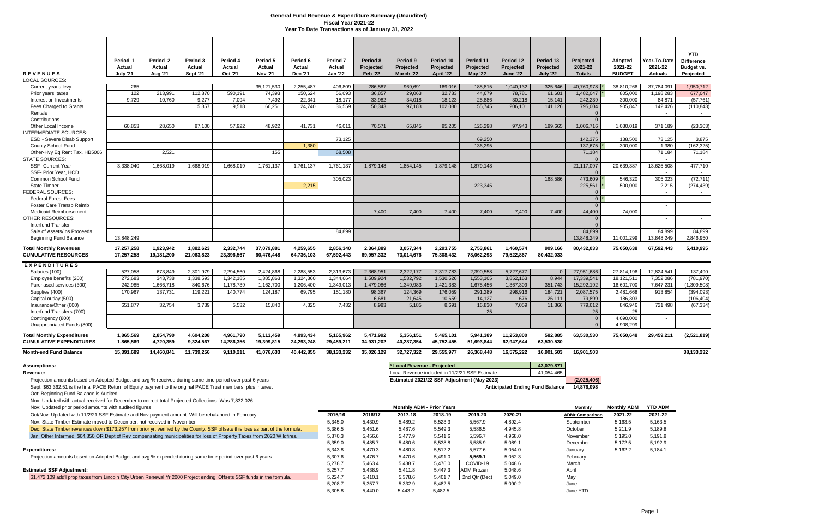|                                                                                                                                                                                                                           | Period 1                  | Period 2                | Period 3                  | Period 4                | Period 5                 | Period 6                | Period 7                 | Period 8                    | Period 9                         | Period 10               | Period 11                                      | Period 12                    | Period 13                              | Projected                        | <b>Adopted</b>           | Year-To-Date                        | <b>YTD</b><br><b>Difference</b> |
|---------------------------------------------------------------------------------------------------------------------------------------------------------------------------------------------------------------------------|---------------------------|-------------------------|---------------------------|-------------------------|--------------------------|-------------------------|--------------------------|-----------------------------|----------------------------------|-------------------------|------------------------------------------------|------------------------------|----------------------------------------|----------------------------------|--------------------------|-------------------------------------|---------------------------------|
| <b>REVENUES</b><br>LOCAL SOURCES:                                                                                                                                                                                         | Actual<br><b>July '21</b> | Actual<br>Aug '21       | Actual<br><b>Sept '21</b> | Actual<br>Oct '21       | Actual<br><b>Nov '21</b> | Actual<br>Dec '21       | Actual<br><b>Jan '22</b> | Projected<br><b>Feb '22</b> | Projected<br>March '22           | Projected<br>April '22  | Projected<br><b>May '22</b>                    | Projected<br><b>June '22</b> | <b>Projected</b><br><b>July '22</b>    | 2021-22<br><b>Totals</b>         | 2021-22<br><b>BUDGET</b> | 2021-22<br><b>Actuals</b>           | Budget vs.<br>Projected         |
| Current year's levy                                                                                                                                                                                                       | 265                       |                         |                           |                         | 35,121,530               | 2,255,487               | 406,809                  | 286,587                     | 969,691                          | 169,016                 | 185,815                                        | 1,040,132                    | 325,646                                | 40,760,978                       | 38,810,266               | 37,784,091                          | 1,950,712                       |
| Prior years' taxes                                                                                                                                                                                                        | 122                       | 213,991                 | 112,870                   | 590,191                 | 74,393                   | 150,624                 | 56,093                   | 36,857                      | 29,063                           | 32,783                  | 44,679                                         | 78,781                       | 61,601                                 | 1,482,047                        | 805,000                  | 1,198,283                           | 677,047                         |
| Interest on Investments                                                                                                                                                                                                   | 9,729                     | 10.760                  | 9,277                     | 7,094                   | 7,492                    | 22.341                  | 18,177                   | 33,982                      | 34,018                           | 18,123                  | 25,886                                         | 30,218                       | 15,141                                 | 242,239                          | 300.000                  | 84,871                              | (57, 761)                       |
| Fees Charged to Grants                                                                                                                                                                                                    |                           |                         | 5,357                     | 9,518                   | 66,251                   | 24,740                  | 36,559                   | 50,343                      | 97,183                           | 102,080                 | 55,745                                         | 206,101                      | 141,126                                | 795,004                          | 905,847                  | 142,426                             | (110, 843)                      |
| Rentals<br>Contributions                                                                                                                                                                                                  |                           |                         |                           |                         |                          |                         |                          |                             |                                  |                         |                                                |                              |                                        | $\overline{0}$<br>$\overline{0}$ |                          |                                     |                                 |
| Other Local Income                                                                                                                                                                                                        | 60,853                    | 28,650                  | 87,100                    | 57,922                  | 48,922                   | 41,731                  | 46,011                   | 70,571                      | 65,845                           | 85,205                  | 126,298                                        | 97,943                       | 189,665                                | 1,006,716                        | 1,030,019                | $\overline{\phantom{a}}$<br>371,189 | $\sim$ $-$<br>(23, 303)         |
| <b>INTERMEDIATE SOURCES:</b>                                                                                                                                                                                              |                           |                         |                           |                         |                          |                         |                          |                             |                                  |                         |                                                |                              |                                        | $\overline{0}$                   |                          |                                     | $\sim$                          |
| ESD - Severe Disab Support                                                                                                                                                                                                |                           |                         |                           |                         |                          |                         | 73,125                   |                             |                                  |                         | 69,250                                         |                              |                                        | 142,375                          | 138,500                  | 73,125                              | 3,875                           |
| County School Fund                                                                                                                                                                                                        |                           |                         |                           |                         |                          | 1,380                   |                          |                             |                                  |                         | 136,295                                        |                              |                                        | 137,675                          | 300,000                  | 1,380                               | (162, 325)                      |
| Other-Hvy Eq Rent Tax, HB5006                                                                                                                                                                                             |                           | 2,521                   |                           |                         | 155                      |                         | 68,508                   |                             |                                  |                         |                                                |                              |                                        | 71,184                           |                          | 71,184                              | 71,184                          |
| <b>STATE SOURCES:</b><br><b>SSF- Current Year</b>                                                                                                                                                                         | 3,338,040                 | 1,668,019               | 1,668,019                 | 1,668,019               | 1,761,137                |                         | 1,761,137                | 1,879,148                   | 1,854,145                        | 1,879,148               | 1,879,148                                      |                              |                                        | $\Omega$<br>21,117,097           | 20,639,387               | 13,625,508                          | $\sim$<br>477,710               |
| SSF- Prior Year, HCD                                                                                                                                                                                                      |                           |                         |                           |                         |                          | 1,761,137               |                          |                             |                                  |                         |                                                |                              |                                        | $\overline{0}$                   |                          | $\sim$                              | $\sim$ $-$                      |
| Common School Fund                                                                                                                                                                                                        |                           |                         |                           |                         |                          |                         | 305,023                  |                             |                                  |                         |                                                |                              | 168,586                                | 473,609                          | 546,320                  | 305,023                             | (72, 711)                       |
| <b>State Timber</b>                                                                                                                                                                                                       |                           |                         |                           |                         |                          | 2,215                   |                          |                             |                                  |                         | 223,345                                        |                              |                                        | 225,561                          | 500,000                  | 2,215                               | (274, 439)                      |
| <b>FEDERAL SOURCES:</b>                                                                                                                                                                                                   |                           |                         |                           |                         |                          |                         |                          |                             |                                  |                         |                                                |                              |                                        | 0 <sup>1</sup>                   |                          | $\sim$                              | $\sim$                          |
| <b>Federal Forest Fees</b>                                                                                                                                                                                                |                           |                         |                           |                         |                          |                         |                          |                             |                                  |                         |                                                |                              |                                        | 0 <sup>1</sup>                   |                          | $\overline{\phantom{a}}$            | $\overline{a}$                  |
| Foster Care Transp Reimb                                                                                                                                                                                                  |                           |                         |                           |                         |                          |                         |                          |                             |                                  |                         |                                                |                              |                                        | $\Omega$                         |                          | $\overline{\phantom{a}}$            |                                 |
| <b>Medicaid Reimbursement</b><br><b>OTHER RESOURCES:</b>                                                                                                                                                                  |                           |                         |                           |                         |                          |                         |                          | 7,400                       | 7,400                            | 7,400                   | 7,400                                          | 7,400                        | 7,400                                  | 44,400<br>$\overline{0}$         | 74,000                   | $\sim$<br>$\sim$                    | $\sim$                          |
| Interfund Transfer                                                                                                                                                                                                        |                           |                         |                           |                         |                          |                         |                          |                             |                                  |                         |                                                |                              |                                        | $\overline{0}$                   |                          | $\sim$                              | $\sim$                          |
| Sale of Assets/Ins Proceeds                                                                                                                                                                                               |                           |                         |                           |                         |                          |                         | 84,899                   |                             |                                  |                         |                                                |                              |                                        | 84,899                           |                          | 84,899                              | 84,899                          |
| <b>Beginning Fund Balance</b>                                                                                                                                                                                             | 13,848,249                |                         |                           |                         |                          |                         |                          |                             |                                  |                         |                                                |                              |                                        | 13,848,249                       | 11,001,299               | 13,848,249                          | 2,846,950                       |
| <b>Total Monthly Revenues</b><br><b>CUMULATIVE RESOURCES</b>                                                                                                                                                              | 17,257,258<br>17,257,258  | 1,923,942<br>19,181,200 | 1,882,623<br>21,063,823   | 2,332,744<br>23,396,567 | 37,079,881<br>60,476,448 | 4,259,655<br>64,736,103 | 2,856,340<br>67,592,443  | 2,364,889<br>69,957,332     | 3,057,344<br>73,014,676          | 2,293,755<br>75,308,432 | 2,753,861<br>78,062,293                        | 1,460,574<br>79,522,867      | 909,166<br>80,432,033                  | 80,432,033                       | 75,050,638               | 67,592,443                          | 5,410,995                       |
| <b>EXPENDITURES</b>                                                                                                                                                                                                       |                           |                         |                           |                         |                          |                         |                          |                             |                                  |                         |                                                |                              |                                        |                                  |                          |                                     |                                 |
| Salaries (100)                                                                                                                                                                                                            | 527,058                   | 673,849                 | 2,301,979                 | 2,294,560               | 2,424,868                | 2,288,553               | 2,313,673                | 2,368,951                   | 2,322,177                        | 2,317,783               | 2,390,558                                      | 5,727,677                    | $\Omega$                               | 27,951,686                       | 27,814,196               | 12,824,541                          | 137,490                         |
| Employee benefits (200)                                                                                                                                                                                                   | 272,683                   | 343,738                 | 1,338,593                 | 1,342,185               | 1,385,863                | 1,324,360               | 1,344,664                | 1,509,924                   | 1,532,792                        | 1,530,526               | 1,553,105                                      | 3,852,163                    | 8.944                                  | 17,339,541                       | 18,121,511               | 7,352,086                           | (781,970                        |
| Purchased services (300)                                                                                                                                                                                                  | 242,985                   | 1,666,718               | 840,676                   | 1,178,739               | 1,162,700                | 1,206,400               | 1,349,013                | 1,479,086                   | 1,349,983                        | 1,421,383               | 1,675,456                                      | 1,367,309                    | 351,743                                | 15,292,192                       | 16,601,700               | 7,647,231                           | (1,309,508)                     |
| Supplies (400)                                                                                                                                                                                                            | 170,967                   | 137,731                 | 119,221                   | 140,774                 | 124,187                  | 69,795                  | 151,180                  | 98,367                      | 124,369                          | 176,059                 | 291,289                                        | 298,916                      | 184,721                                | 2,087,575                        | 2,481,668                | 913,854                             | (394, 093)                      |
| Capital outlay (500)                                                                                                                                                                                                      |                           |                         |                           |                         |                          |                         |                          | 6,681                       | 21,645                           | 10,659                  | 14,127                                         | 676                          | 26,111                                 | 79,899                           | 186,303                  | $\sim$                              | (106, 404)                      |
| Insurance/Other (600)<br>Interfund Transfers (700)                                                                                                                                                                        | 651,877                   | 32,754                  | 3,739                     | 5,532                   | 15,840                   | 4,325                   | 7,432                    | 8,983                       | 5,185                            | 8,691                   | 16,830<br>25                                   | 7,059                        | 11,366                                 | 779,612<br>25                    | 846,946<br>25            | 721,498<br>$\overline{\phantom{a}}$ | (67, 334)                       |
| Contingency (800)                                                                                                                                                                                                         |                           |                         |                           |                         |                          |                         |                          |                             |                                  |                         |                                                |                              |                                        | $\overline{0}$                   | 4,090,000                | $\sim$                              |                                 |
| Unappropriated Funds (800)                                                                                                                                                                                                |                           |                         |                           |                         |                          |                         |                          |                             |                                  |                         |                                                |                              |                                        | $\overline{0}$                   | 4.908.299                | $\sim$                              |                                 |
| <b>Total Monthly Expenditures</b><br><b>CUMULATIVE EXPENDITURES</b>                                                                                                                                                       | 1,865,569<br>1,865,569    | 2.854.790<br>4,720,359  | 4.604.208<br>9,324,567    | 4,961,790<br>14,286,356 | 5,113,459<br>19,399,815  | 4.893.434<br>24,293,248 | 5,165,962<br>29,459,211  | 5.471.992<br>34,931,202     | 5,356,151<br>40,287,354          | 5,465,101<br>45,752,455 | 5,941,389<br>51,693,844                        | 11,253,800<br>62,947,644     | 582,885<br>63,530,530                  | 63,530,530                       | 75,050,648               | 29,459,211                          | (2,521,819)                     |
| <b>Month-end Fund Balance</b>                                                                                                                                                                                             | 15,391,689                | 14,460,841              | 11,739,256                | 9,110,211               | 41,076,633               | 40,442,855              | 38, 133, 232             | 35,026,129                  | 32,727,322                       | 29,555,977              | 26,368,448                                     | 16,575,222                   | 16,901,503                             | 16,901,503                       |                          |                                     | 38,133,232                      |
| <b>Assumptions:</b>                                                                                                                                                                                                       |                           |                         |                           |                         |                          |                         |                          |                             | * Local Revenue - Projected      |                         |                                                |                              | 43,079,871                             |                                  |                          |                                     |                                 |
| Revenue:                                                                                                                                                                                                                  |                           |                         |                           |                         |                          |                         |                          |                             |                                  |                         | Local Revenue included in 11/2/21 SSF Estimate |                              | 41,054,465                             |                                  |                          |                                     |                                 |
| Projection amounts based on Adopted Budget and avg % received during same time period over past 6 years<br>Sept: \$63,362.51 is the final PACE Return of Equity payment to the original PACE Trust members, plus interest |                           |                         |                           |                         |                          |                         |                          |                             |                                  |                         | Estimated 2021/22 SSF Adjustment (May 2023)    |                              | <b>Anticipated Ending Fund Balance</b> | (2,025,406)<br>14,876,098        |                          |                                     |                                 |
| Oct: Beginning Fund Balance is Audited<br>Nov: Updated with actual received for December to correct total Projected Collections. Was 7,832,026.                                                                           |                           |                         |                           |                         |                          |                         |                          |                             |                                  |                         |                                                |                              |                                        |                                  |                          | <b>YTD ADM</b>                      |                                 |
| Nov: Updated prior period amounts with audited figures                                                                                                                                                                    |                           |                         |                           |                         |                          |                         |                          |                             | <b>Monthly ADM - Prior Years</b> |                         |                                                |                              |                                        | <b>Monthly</b>                   | <b>Monthly ADM</b>       |                                     |                                 |
| Oct/Nov: Updated with 11/2/21 SSF Estimate and Nov payment amount. Will be rebalanced in February.                                                                                                                        |                           |                         |                           |                         |                          |                         | 2015/16<br>5,345.0       | 2016/17<br>5,430.9          | 2017-18<br>5,489.2               | 2018-19                 | 2019-20                                        | 2020-21<br>4,892.4           |                                        | <u>ADMr Comparison</u>           | 2021-22                  | 2021-22                             |                                 |
| Nov: State Timber Estimate moved to December, not received in November<br>Dec: State Timber revenues down \$173,257 from prior yr, verified by the County. SSF offsets this loss as part of the formula.                  |                           |                         |                           |                         |                          |                         | 5,386.5                  | 5,451.6                     | 5,487.6                          | 5,523.3<br>5,549.3      | 5,567.9<br>5,586.5                             | 4,945.8                      |                                        | September<br>October             | 5,163.5<br>5,211.9       | 5,163.5<br>5,189.8                  |                                 |
| Jan: Other Intermed, \$64,850 OR Dept of Rev compensating municipalities for loss of Property Taxes from 2020 Wildfires.                                                                                                  |                           |                         |                           |                         |                          |                         | 5,370.3                  | 5,456.6                     | 5,477.9                          | 5,541.6                 | 5,596.7                                        | 4,968.0                      |                                        | November                         | 5,195.0                  | 5,191.8                             |                                 |
|                                                                                                                                                                                                                           |                           |                         |                           |                         |                          |                         | 5,359.0                  | 5,485.7                     | 5,480.6                          | 5,538.8                 | 5,585.9                                        | 5,089.1                      |                                        | December                         | 5,172.5                  | 5,192.9                             |                                 |
| <b>Expenditures:</b>                                                                                                                                                                                                      |                           |                         |                           |                         |                          |                         | 5,343.8                  | 5,470.3                     | 5,480.8                          | 5,512.2                 | 5,577.6                                        | 5,054.0                      |                                        | January                          | 5,162.2                  | 5,184.1                             |                                 |
| Projection amounts based on Adopted Budget and avg % expended during same time period over past 6 years                                                                                                                   |                           |                         |                           |                         |                          |                         | 5,307.6                  | 5,476.7                     | 5,470.6                          | 5,491.0                 | 5,569.1                                        | 5,052.3                      |                                        | February                         |                          |                                     |                                 |
|                                                                                                                                                                                                                           |                           |                         |                           |                         |                          |                         | 5,278.7                  | 5,463.4                     | 5,438.7                          | 5,476.0                 | COVID-19                                       | 5,048.6                      |                                        | March                            |                          |                                     |                                 |
| <b>Estimated SSF Adjustment:</b>                                                                                                                                                                                          |                           |                         |                           |                         |                          |                         | 5,257.7                  | 5,438.9                     | 5,411.8                          | 5,447.3                 | <b>\DM Frozen</b>                              | 5,048.6                      |                                        | April                            |                          |                                     |                                 |
| \$1,472,109 add'I prop taxes from Lincoln City Urban Renewal Yr 2000 Project ending. Offsets SSF funds in the formula.                                                                                                    |                           |                         |                           |                         |                          |                         | 5,224.7                  | 5,410.1                     | 5,378.6                          | 5,401.7                 | 2nd Qtr (Dec)                                  | 5,049.0                      |                                        | May                              |                          |                                     |                                 |
|                                                                                                                                                                                                                           |                           |                         |                           |                         |                          |                         | 5,208.7                  | 5,357.7                     | 5,332.9                          | 5,482.5                 |                                                | 5,090.2                      |                                        | June                             |                          |                                     |                                 |
|                                                                                                                                                                                                                           |                           |                         |                           |                         |                          |                         | 5,305.8                  | 5,440.0                     | 5,443.2                          | 5,482.5                 |                                                |                              |                                        | June YTD                         |                          |                                     |                                 |

### **General Fund Revenue & Expenditure Summary (Unaudited) Fiscal Year 2021-22 Year To Date Transactions as of January 31, 2022**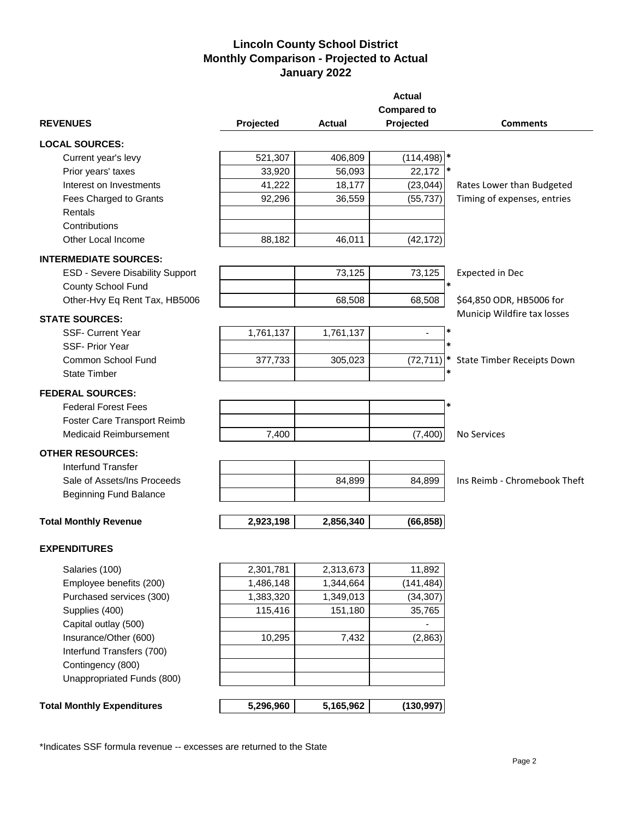## **Lincoln County School District Monthly Comparison - Projected to Actual January 2022**

|                                        |           |               | <b>Actual</b>                 |                              |
|----------------------------------------|-----------|---------------|-------------------------------|------------------------------|
|                                        |           |               | <b>Compared to</b>            |                              |
| <b>REVENUES</b>                        | Projected | <b>Actual</b> | Projected                     | <b>Comments</b>              |
| <b>LOCAL SOURCES:</b>                  |           |               |                               |                              |
| Current year's levy                    | 521,307   | 406,809       | $(114, 498)$ *                |                              |
| Prior years' taxes                     | 33,920    | 56,093        | 22,172                        |                              |
| Interest on Investments                | 41,222    | 18,177        | (23, 044)                     | Rates Lower than Budgeted    |
| Fees Charged to Grants                 | 92,296    | 36,559        | (55, 737)                     | Timing of expenses, entries  |
| Rentals                                |           |               |                               |                              |
| Contributions                          |           |               |                               |                              |
| Other Local Income                     | 88,182    | 46,011        | (42, 172)                     |                              |
| <b>INTERMEDIATE SOURCES:</b>           |           |               |                               |                              |
| <b>ESD - Severe Disability Support</b> |           | 73,125        | 73,125                        | Expected in Dec              |
| County School Fund                     |           |               | $\ast$                        |                              |
| Other-Hvy Eq Rent Tax, HB5006          |           | 68,508        | 68,508                        | \$64,850 ODR, HB5006 for     |
| <b>STATE SOURCES:</b>                  |           |               |                               | Municip Wildfire tax losses  |
| <b>SSF- Current Year</b>               | 1,761,137 | 1,761,137     | *<br>$\overline{\phantom{a}}$ |                              |
| <b>SSF-Prior Year</b>                  |           |               | $\ast$                        |                              |
| Common School Fund                     | 377,733   | 305,023       | (72, 711)                     | State Timber Receipts Down   |
| <b>State Timber</b>                    |           |               | *                             |                              |
| <b>FEDERAL SOURCES:</b>                |           |               |                               |                              |
| <b>Federal Forest Fees</b>             |           |               | *                             |                              |
| Foster Care Transport Reimb            |           |               |                               |                              |
| <b>Medicaid Reimbursement</b>          | 7,400     |               | (7, 400)                      | <b>No Services</b>           |
| <b>OTHER RESOURCES:</b>                |           |               |                               |                              |
| <b>Interfund Transfer</b>              |           |               |                               |                              |
| Sale of Assets/Ins Proceeds            |           | 84,899        | 84,899                        | Ins Reimb - Chromebook Theft |
| <b>Beginning Fund Balance</b>          |           |               |                               |                              |
|                                        |           |               |                               |                              |
| <b>Total Monthly Revenue</b>           | 2,923,198 | 2,856,340     | (66, 858)                     |                              |
| <b>EXPENDITURES</b>                    |           |               |                               |                              |
|                                        |           |               |                               |                              |
| Salaries (100)                         | 2,301,781 | 2,313,673     | 11,892                        |                              |
| Employee benefits (200)                | 1,486,148 | 1,344,664     | (141, 484)                    |                              |
| Purchased services (300)               | 1,383,320 | 1,349,013     | (34, 307)                     |                              |
| Supplies (400)                         | 115,416   | 151,180       | 35,765                        |                              |
| Capital outlay (500)                   |           |               |                               |                              |
| Insurance/Other (600)                  | 10,295    | 7,432         | (2,863)                       |                              |
| Interfund Transfers (700)              |           |               |                               |                              |
| Contingency (800)                      |           |               |                               |                              |
| Unappropriated Funds (800)             |           |               |                               |                              |
| <b>Total Monthly Expenditures</b>      | 5,296,960 | 5,165,962     | (130, 997)                    |                              |
|                                        |           |               |                               |                              |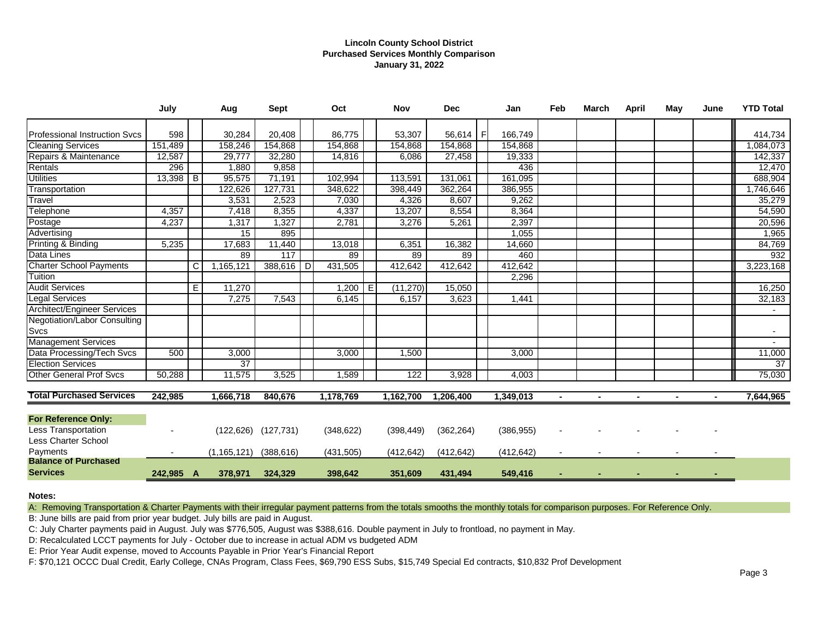## **Lincoln County School District Purchased Services Monthly Comparison January 31, 2022**

|                                      | July       |   | Aug           | Sept                      |   | Oct        |   | <b>Nov</b> | <b>Dec</b> |    | Jan        | Feb    | <b>March</b>   | <b>April</b>   | May | June | <b>YTD Total</b> |
|--------------------------------------|------------|---|---------------|---------------------------|---|------------|---|------------|------------|----|------------|--------|----------------|----------------|-----|------|------------------|
| <b>Professional Instruction Svcs</b> | 598        |   | 30,284        | 20,408                    |   | 86,775     |   | 53,307     | 56,614     | -F | 166,749    |        |                |                |     |      | 414,734          |
| <b>Cleaning Services</b>             | 151,489    |   | 158,246       | 154,868                   |   | 154,868    |   | 154,868    | 154,868    |    | 154,868    |        |                |                |     |      | 1,084,073        |
| Repairs & Maintenance                | 12,587     |   | 29,777        | 32,280                    |   | 14,816     |   | 6,086      | 27,458     |    | 19,333     |        |                |                |     |      | 142,337          |
| Rentals                              | 296        |   | 1,880         | 9,858                     |   |            |   |            |            |    | 436        |        |                |                |     |      | 12,470           |
| <b>Utilities</b>                     | $13,398$ B |   | 95,575        | 71,191                    |   | 102,994    |   | 113,591    | 131,061    |    | 161,095    |        |                |                |     |      | 688,904          |
| Transportation                       |            |   | 122,626       | 127,731                   |   | 348,622    |   | 398,449    | 362,264    |    | 386,955    |        |                |                |     |      | 1,746,646        |
| Travel                               |            |   | 3,531         | 2,523                     |   | 7,030      |   | 4,326      | 8,607      |    | 9,262      |        |                |                |     |      | 35,279           |
| Telephone                            | 4,357      |   | 7,418         | 8,355                     |   | 4,337      |   | 13,207     | 8,554      |    | 8,364      |        |                |                |     |      | 54,590           |
| Postage                              | 4,237      |   | 1,317         | 1,327                     |   | 2,781      |   | 3,276      | 5,261      |    | 2,397      |        |                |                |     |      | 20,596           |
| Advertising                          |            |   | 15            | 895                       |   |            |   |            |            |    | 1,055      |        |                |                |     |      | 1,965            |
| Printing & Binding                   | 5,235      |   | 17,683        | 11,440                    |   | 13,018     |   | 6,351      | 16,382     |    | 14,660     |        |                |                |     |      | 84,769           |
| Data Lines                           |            |   | 89            | 117                       |   | 89         |   | 89         | 89         |    | 460        |        |                |                |     |      | 932              |
| <b>Charter School Payments</b>       |            | С | 1,165,121     | 388,616                   | D | 431,505    |   | 412,642    | 412,642    |    | 412,642    |        |                |                |     |      | 3,223,168        |
| Tuition                              |            |   |               |                           |   |            |   |            |            |    | 2,296      |        |                |                |     |      |                  |
| <b>Audit Services</b>                |            | E | 11.270        |                           |   | 1,200      | E | (11, 270)  | 15,050     |    |            |        |                |                |     |      | 16,250           |
| <b>Legal Services</b>                |            |   | 7,275         | 7,543                     |   | 6,145      |   | 6,157      | 3,623      |    | 1,441      |        |                |                |     |      | 32,183           |
| <b>Architect/Engineer Services</b>   |            |   |               |                           |   |            |   |            |            |    |            |        |                |                |     |      |                  |
| <b>Negotiation/Labor Consulting</b>  |            |   |               |                           |   |            |   |            |            |    |            |        |                |                |     |      |                  |
| Svcs                                 |            |   |               |                           |   |            |   |            |            |    |            |        |                |                |     |      | $\blacksquare$   |
| <b>Management Services</b>           |            |   |               |                           |   |            |   |            |            |    |            |        |                |                |     |      | $\sim$           |
| Data Processing/Tech Svcs            | 500        |   | 3,000         |                           |   | 3,000      |   | 1,500      |            |    | 3,000      |        |                |                |     |      | 11,000           |
| <b>Election Services</b>             |            |   | 37            |                           |   |            |   |            |            |    |            |        |                |                |     |      | $\overline{37}$  |
| <b>Other General Prof Svcs</b>       | 50,288     |   | 11,575        | 3,525                     |   | 1,589      |   | 122        | 3,928      |    | 4,003      |        |                |                |     |      | 75,030           |
| <b>Total Purchased Services</b>      | 242,985    |   | 1,666,718     | 840,676                   |   | 1,178,769  |   | 1,162,700  | 1,206,400  |    | 1,349,013  | $\sim$ | $\blacksquare$ | $\blacksquare$ |     |      | 7,644,965        |
|                                      |            |   |               |                           |   |            |   |            |            |    |            |        |                |                |     |      |                  |
| <b>For Reference Only:</b>           |            |   |               |                           |   |            |   |            |            |    |            |        |                |                |     |      |                  |
| Less Transportation                  |            |   |               | $(122, 626)$ $(127, 731)$ |   | (348, 622) |   | (398, 449) | (362, 264) |    | (386, 955) |        |                |                |     |      |                  |
| Less Charter School                  |            |   |               |                           |   |            |   |            |            |    |            |        |                |                |     |      |                  |
| Payments                             |            |   | (1, 165, 121) | (388, 616)                |   | (431, 505) |   | (412, 642) | (412, 642) |    | (412, 642) |        |                |                |     |      |                  |
| <b>Balance of Purchased</b>          |            |   |               |                           |   |            |   |            |            |    |            |        |                |                |     |      |                  |
| <b>Services</b>                      | 242,985 A  |   | 378,971       | 324,329                   |   | 398,642    |   | 351,609    | 431,494    |    | 549,416    |        |                |                |     |      |                  |

### **Notes:**

A: Removing Transportation & Charter Payments with their irregular payment patterns from the totals smooths the monthly totals for comparison purposes. For Reference Only.

B: June bills are paid from prior year budget. July bills are paid in August.

C: July Charter payments paid in August. July was \$776,505, August was \$388,616. Double payment in July to frontload, no payment in May.

D: Recalculated LCCT payments for July - October due to increase in actual ADM vs budgeted ADM

E: Prior Year Audit expense, moved to Accounts Payable in Prior Year's Financial Report

F: \$70,121 OCCC Dual Credit, Early College, CNAs Program, Class Fees, \$69,790 ESS Subs, \$15,749 Special Ed contracts, \$10,832 Prof Development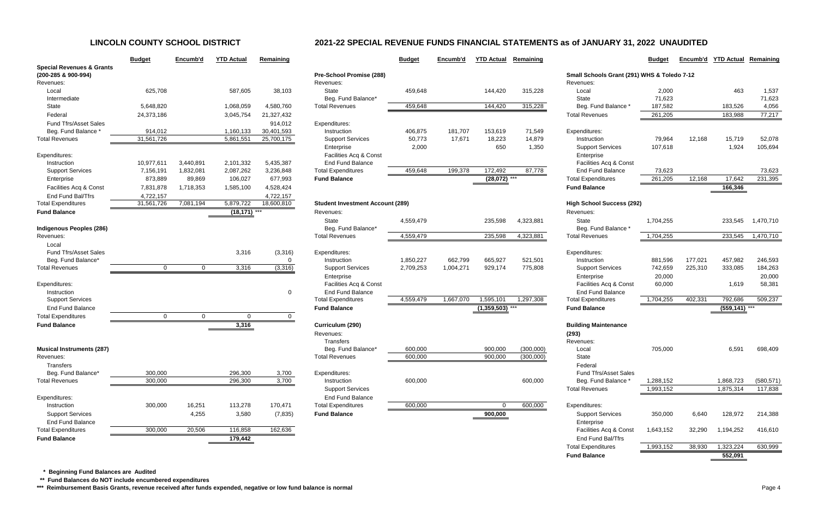|                                      | <b>Budget</b> | Encumb'd  | <b>YTD Actual</b> | Remaining  |                           |
|--------------------------------------|---------------|-----------|-------------------|------------|---------------------------|
| <b>Special Revenues &amp; Grants</b> |               |           |                   |            |                           |
| (200-285 & 900-994)                  |               |           |                   |            | Pre-School Promise        |
| Revenues:                            |               |           |                   |            | Revenues:                 |
| Local                                | 625,708       |           | 587,605           | 38,103     | <b>State</b>              |
| Intermediate                         |               |           |                   |            | Beg. Fund Balance         |
| State                                | 5,648,820     |           | 1,068,059         | 4,580,760  | <b>Total Revenues</b>     |
| Federal                              | 24,373,186    |           | 3,045,754         | 21,327,432 |                           |
| <b>Fund Tfrs/Asset Sales</b>         |               |           |                   | 914,012    | Expenditures:             |
| Beg. Fund Balance *                  | 914,012       |           | 1,160,133         | 30,401,593 | Instruction               |
| <b>Total Revenues</b>                | 31,561,726    |           | 5,861,551         | 25,700,175 | <b>Support Services</b>   |
|                                      |               |           |                   |            | Enterprise                |
| Expenditures:                        |               |           |                   |            | Facilities Acq & Co       |
| Instruction                          | 10,977,611    | 3,440,891 | 2,101,332         | 5,435,387  | <b>End Fund Balance</b>   |
| <b>Support Services</b>              | 7,156,191     | 1,832,081 | 2,087,262         | 3,236,848  | <b>Total Expenditures</b> |
| Enterprise                           | 873,889       | 89,869    | 106,027           | 677,993    | <b>Fund Balance</b>       |
| Facilities Acq & Const               | 7,831,878     | 1,718,353 | 1,585,100         | 4,528,424  |                           |
| End Fund Bal/Tfrs                    | 4,722,157     |           |                   | 4,722,157  |                           |
| <b>Total Expenditures</b>            | 31,561,726    | 7,081,194 | 5,879,722         | 18,600,810 | Student Investment /      |
| <b>Fund Balance</b>                  |               |           | (18, 171)         |            | Revenues:                 |
|                                      |               |           |                   |            | <b>State</b>              |
| Indigenous Peoples (286)             |               |           |                   |            | Beg. Fund Balance         |
| Revenues:                            |               |           |                   |            | <b>Total Revenues</b>     |
| Local                                |               |           |                   |            |                           |
| <b>Fund Tfrs/Asset Sales</b>         |               |           | 3,316             | (3,316)    | Expenditures:             |
| Beg. Fund Balance*                   |               |           |                   | 0          | Instruction               |
| <b>Total Revenues</b>                | $\pmb{0}$     | $\pmb{0}$ | 3,316             | (3, 316)   | <b>Support Services</b>   |
|                                      |               |           |                   |            | Enterprise                |
| Expenditures:                        |               |           |                   |            | Facilities Acq & Co       |
| Instruction                          |               |           |                   | 0          | <b>End Fund Balance</b>   |
| <b>Support Services</b>              |               |           |                   |            | <b>Total Expenditures</b> |
| <b>End Fund Balance</b>              |               |           |                   |            | <b>Fund Balance</b>       |
| <b>Total Expenditures</b>            | 0             | 0         | $\mathbf 0$       | 0          |                           |
| <b>Fund Balance</b>                  |               |           | 3,316             |            | Curriculum (290)          |
|                                      |               |           |                   |            | Revenues:                 |
|                                      |               |           |                   |            | Transfers                 |
| <b>Musical Instruments (287)</b>     |               |           |                   |            | Beg. Fund Balance         |
| Revenues:                            |               |           |                   |            | Total Revenues            |
| <b>Transfers</b>                     |               |           |                   |            |                           |
| Beg. Fund Balance*                   | 300,000       |           | 296,300           | 3,700      | Expenditures:             |
| <b>Total Revenues</b>                | 300,000       |           | 296,300           | 3,700      | Instruction               |
|                                      |               |           |                   |            | <b>Support Services</b>   |
| Expenditures:                        |               |           |                   |            | <b>End Fund Balance</b>   |
| Instruction                          | 300,000       | 16,251    | 113,278           | 170,471    | <b>Total Expenditures</b> |
| <b>Support Services</b>              |               | 4,255     | 3,580             | (7, 835)   | <b>Fund Balance</b>       |
| <b>End Fund Balance</b>              |               |           |                   |            |                           |
| <b>Total Expenditures</b>            | 300,000       | 20,506    | 116,858           | 162,636    |                           |
| <b>Fund Balance</b>                  |               |           | 179,442           |            |                           |
|                                      |               |           |                   |            |                           |

|                                                             | <b>Budget</b>  | Encumb'd       | <b>YTD Actual</b> | Remaining      |                                         | <b>Budget</b> | Encumb'd  | <b>YTD Actual</b> | Remaining |                                             | <b>Budget</b> | Encumb'd | <b>YTD Actual</b> | Remaining  |
|-------------------------------------------------------------|----------------|----------------|-------------------|----------------|-----------------------------------------|---------------|-----------|-------------------|-----------|---------------------------------------------|---------------|----------|-------------------|------------|
| <b>Special Revenues &amp; Grants</b><br>(200-285 & 900-994) |                |                |                   |                | Pre-School Promise (288)                |               |           |                   |           | Small Schools Grant (291) WHS & Toledo 7-12 |               |          |                   |            |
| Revenues:                                                   |                |                |                   |                | Revenues:                               |               |           |                   |           | Revenues:                                   |               |          |                   |            |
| Local                                                       | 625,708        |                | 587,605           | 38,103         | State                                   | 459,648       |           | 144,420           | 315,228   | Local                                       | 2,000         |          | 463               | 1,537      |
| Intermediate                                                |                |                |                   |                | Beg. Fund Balance*                      |               |           |                   |           | <b>State</b>                                | 71,623        |          |                   | 71,623     |
| State                                                       | 5,648,820      |                | 1,068,059         | 4,580,760      | <b>Total Revenues</b>                   | 459,648       |           | 144,420           | 315,228   | Beg. Fund Balance                           | 187,582       |          | 183,526           | 4,056      |
| Federal                                                     | 24,373,186     |                | 3,045,754         | 21,327,432     |                                         |               |           |                   |           | <b>Total Revenues</b>                       | 261,205       |          | 183,988           | 77,217     |
| <b>Fund Tfrs/Asset Sales</b>                                |                |                |                   | 914,012        | Expenditures:                           |               |           |                   |           |                                             |               |          |                   |            |
| Beg. Fund Balance                                           | 914,012        |                | 1,160,133         | 30,401,593     | Instruction                             | 406,875       | 181,707   | 153,619           | 71,549    | Expenditures:                               |               |          |                   |            |
| <b>Total Revenues</b>                                       | 31,561,726     |                | 5,861,551         | 25,700,175     | <b>Support Services</b>                 | 50,773        | 17,671    | 18,223            | 14,879    | Instruction                                 | 79,964        | 12,168   | 15,719            | 52,078     |
|                                                             |                |                |                   |                | Enterprise                              | 2,000         |           | 650               | 1,350     | <b>Support Services</b>                     | 107,618       |          | 1,924             | 105,694    |
| Expenditures:                                               |                |                |                   |                | Facilities Acq & Const                  |               |           |                   |           | Enterprise                                  |               |          |                   |            |
| Instruction                                                 | 10,977,611     | 3,440,891      | 2,101,332         | 5,435,387      | <b>End Fund Balance</b>                 |               |           |                   |           | Facilities Acq & Const                      |               |          |                   |            |
| <b>Support Services</b>                                     | 7,156,191      | 1,832,081      | 2,087,262         | 3,236,848      | <b>Total Expenditures</b>               | 459,648       | 199,378   | 172,492           | 87,778    | <b>End Fund Balance</b>                     | 73,623        |          |                   | 73,623     |
| Enterprise                                                  | 873,889        | 89,869         | 106,027           | 677,993        | <b>Fund Balance</b>                     |               |           | $(28,072)$ ***    |           | <b>Total Expenditures</b>                   | 261,205       | 12,168   | 17,642            | 231,395    |
| Facilities Acq & Const                                      | 7,831,878      | 1,718,353      | 1,585,100         | 4,528,424      |                                         |               |           |                   |           | <b>Fund Balance</b>                         |               |          | 166,346           |            |
| End Fund Bal/Tfrs                                           | 4,722,157      |                |                   | 4,722,157      |                                         |               |           |                   |           |                                             |               |          |                   |            |
| <b>Total Expenditures</b>                                   | 31,561,726     | 7,081,194      | 5,879,722         | 18,600,810     | <b>Student Investment Account (289)</b> |               |           |                   |           | <b>High School Success (292)</b>            |               |          |                   |            |
| <b>Fund Balance</b>                                         |                |                | $(18, 171)$ ***   |                | Revenues:                               |               |           |                   |           | Revenues:                                   |               |          |                   |            |
|                                                             |                |                |                   |                | State                                   | 4,559,479     |           | 235,598           | 4,323,881 | State                                       | 1,704,255     |          | 233,545           | 1,470,710  |
| <b>Indigenous Peoples (286)</b>                             |                |                |                   |                | Beg. Fund Balance*                      |               |           |                   |           | Beg. Fund Balance *                         |               |          |                   |            |
| Revenues:                                                   |                |                |                   |                | <b>Total Revenues</b>                   | 4,559,479     |           | 235,598           | 4,323,881 | <b>Total Revenues</b>                       | 1,704,255     |          | 233,545           | 1,470,710  |
| Local                                                       |                |                |                   |                |                                         |               |           |                   |           |                                             |               |          |                   |            |
| <b>Fund Tfrs/Asset Sales</b>                                |                |                | 3,316             | (3,316)        | Expenditures:                           |               |           |                   |           | Expenditures:                               |               |          |                   |            |
| Beg. Fund Balance'                                          |                |                |                   | 0              | Instruction                             | 1,850,227     | 662,799   | 665,927           | 521,501   | Instruction                                 | 881,596       | 177,021  | 457,982           | 246,593    |
| <b>Total Revenues</b>                                       | $\overline{0}$ | $\overline{0}$ | 3,316             | (3,316)        | <b>Support Services</b>                 | 2,709,253     | 1,004,271 | 929,174           | 775,808   | <b>Support Services</b>                     | 742,659       | 225,310  | 333,085           | 184,263    |
|                                                             |                |                |                   |                | Enterprise                              |               |           |                   |           | Enterprise                                  | 20,000        |          |                   | 20,000     |
| Expenditures:                                               |                |                |                   |                | Facilities Acq & Const                  |               |           |                   |           | Facilities Acq & Const                      | 60,000        |          | 1,619             | 58,381     |
| Instruction                                                 |                |                |                   | $\mathbf{0}$   | <b>End Fund Balance</b>                 |               |           |                   |           | <b>End Fund Balance</b>                     |               |          |                   |            |
| <b>Support Services</b>                                     |                |                |                   |                | <b>Total Expenditures</b>               | 4,559,479     | 1,667,070 | 1,595,101         | 1,297,308 | <b>Total Expenditures</b>                   | 1,704,255     | 402,331  | 792,686           | 509,237    |
| <b>End Fund Balance</b>                                     |                |                |                   |                | <b>Fund Balance</b>                     |               |           | $(1,359,503)$ *** |           | <b>Fund Balance</b>                         |               |          | $(559, 141)$ ***  |            |
| <b>Total Expenditures</b>                                   | $\overline{0}$ | $\Omega$       | $\mathbf 0$       | $\overline{0}$ |                                         |               |           |                   |           |                                             |               |          |                   |            |
| <b>Fund Balance</b>                                         |                |                | 3,316             |                | Curriculum (290)                        |               |           |                   |           | <b>Building Maintenance</b>                 |               |          |                   |            |
|                                                             |                |                |                   |                | Revenues:                               |               |           |                   |           | (293)                                       |               |          |                   |            |
|                                                             |                |                |                   |                | Transfers                               |               |           |                   |           | Revenues:                                   |               |          |                   |            |
| <b>Musical Instruments (287)</b>                            |                |                |                   |                | Beg. Fund Balance*                      | 600,000       |           | 900,000           | (300,000) | Local                                       | 705,000       |          | 6,591             | 698,409    |
| Revenues:                                                   |                |                |                   |                | <b>Total Revenues</b>                   | 600,000       |           | 900,000           | (300,000) | State                                       |               |          |                   |            |
| Transfers                                                   |                |                |                   |                |                                         |               |           |                   |           | Federal                                     |               |          |                   |            |
| Beg. Fund Balance*                                          | 300,000        |                | 296,300           | 3,700          | Expenditures:                           |               |           |                   |           | Fund Tfrs/Asset Sales                       |               |          |                   |            |
| <b>Total Revenues</b>                                       | 300,000        |                | 296,300           | 3,700          | Instruction                             | 600,000       |           |                   | 600,000   | Beg. Fund Balance *                         | 1,288,152     |          | 1,868,723         | (580, 571) |
|                                                             |                |                |                   |                | <b>Support Services</b>                 |               |           |                   |           | <b>Total Revenues</b>                       | 1,993,152     |          | 1,875,314         | 117,838    |
| Expenditures:                                               |                |                |                   |                | <b>End Fund Balance</b>                 |               |           |                   |           |                                             |               |          |                   |            |
| Instruction                                                 | 300,000        | 16,251         | 113,278           | 170,471        | <b>Total Expenditures</b>               | 600,000       |           |                   | 600,000   | Expenditures:                               |               |          |                   |            |
| <b>Support Services</b>                                     |                | 4,255          | 3,580             | (7, 835)       | <b>Fund Balance</b>                     |               |           | 900,000           |           | <b>Support Services</b>                     | 350,000       | 6,640    | 128,972           | 214,388    |
| <b>End Fund Balance</b>                                     |                |                |                   |                |                                         |               |           |                   |           | Enterprise                                  |               |          |                   |            |
| <b>Total Expenditures</b>                                   | 300,000        | 20,506         | 116,858           | 162,636        |                                         |               |           |                   |           | Facilities Acq & Const                      | 1,643,152     | 32,290   | 1,194,252         | 416,610    |
| <b>Fund Balance</b>                                         |                |                | 179,442           |                |                                         |               |           |                   |           | End Fund Bal/Tfrs                           |               |          |                   |            |
|                                                             |                |                |                   |                |                                         |               |           |                   |           | <b>Total Expenditures</b>                   | 1,993,152     | 38,930   | 1,323,224         | 630,999    |
|                                                             |                |                |                   |                |                                         |               |           |                   |           | <b>Fund Balance</b>                         |               |          | 552,091           |            |
|                                                             |                |                |                   |                |                                         |               |           |                   |           |                                             |               |          |                   |            |

 **\* Beginning Fund Balances are Audited**

 **\*\* Fund Balances do NOT include encumbered expenditures**

\*\*\* Reimbursement Basis Grants, revenue received after funds expended, negative or low fund balance is normal

# **LINCOLN COUNTY SCHOOL DISTRICT 2021-22 SPECIAL REVENUE FUNDS FINANCIAL STATEMENTS as of JANUARY 31, 2022 UNAUDITED**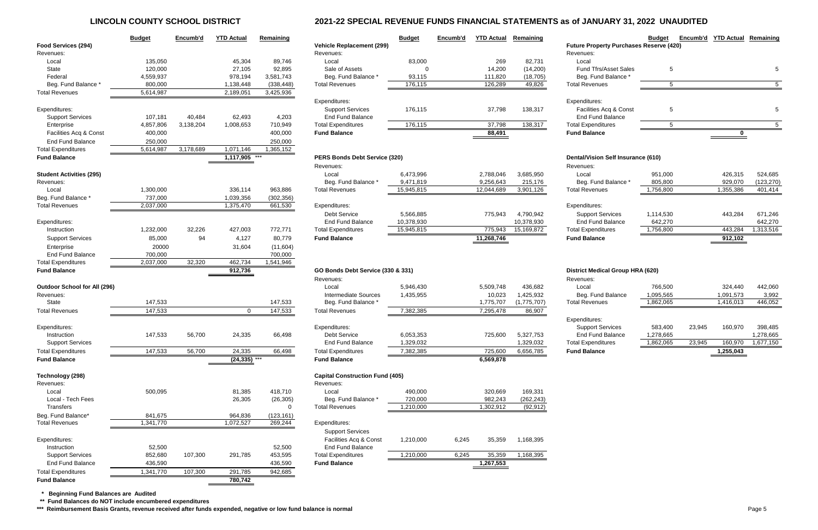# **LINCOLN COUNTY SCHOOL DISTRICT 2021-22 SPECIAL REVENUE FUNDS FINANCIAL STATEMENTS as of JANUARY 31, 2022 UNAUDITED**

|                                                    | <b>Budget</b>        | Encumb'd  | <b>YTD Actual</b>          | Remaining             |                                                   | <b>Budget</b>        | Encumb'd | <b>YTD Actual</b>    | Remaining               |                                                | <b>Budget</b> | Encumb'd | <b>YTD Actual Remaining</b> |             |
|----------------------------------------------------|----------------------|-----------|----------------------------|-----------------------|---------------------------------------------------|----------------------|----------|----------------------|-------------------------|------------------------------------------------|---------------|----------|-----------------------------|-------------|
| Food Services (294)                                |                      |           |                            |                       | <b>Vehicle Replacement (299)</b>                  |                      |          |                      |                         | <b>Future Property Purchases Reserve (420)</b> |               |          |                             |             |
| Revenues:                                          |                      |           |                            |                       | Revenues:                                         |                      |          |                      |                         | Revenues:                                      |               |          |                             |             |
| Local                                              | 135,050              |           | 45,304                     | 89,746                | Local                                             | 83,000               |          | 269                  | 82,731                  | Local                                          |               |          |                             |             |
| State                                              | 120,000              |           | 27,105                     | 92,895                | Sale of Assets                                    |                      |          | 14,200               | (14,200)                | <b>Fund Tfrs/Asset Sales</b>                   | -5            |          |                             | 5           |
| Federal                                            | 4,559,937            |           | 978,194                    | 3,581,743             | Beg. Fund Balance                                 | 93,115               |          | 111,820              | (18, 705)               | Beg. Fund Balance                              |               |          |                             |             |
| Beg. Fund Balance                                  | 800,000              |           | 1,138,448                  | (338, 448)            | <b>Total Revenues</b>                             | 176,115              |          | 126,289              | 49,826                  | <b>Total Revenues</b>                          | 5             |          |                             | $5^{\circ}$ |
| <b>Total Revenues</b>                              | 5,614,987            |           | 2,189,051                  | 3,425,936             |                                                   |                      |          |                      |                         |                                                |               |          |                             |             |
|                                                    |                      |           |                            |                       | Expenditures:                                     |                      |          |                      |                         | Expenditures:                                  |               |          |                             |             |
| Expenditures:                                      |                      |           |                            |                       | <b>Support Services</b>                           | 176,115              |          | 37,798               | 138,317                 | Facilities Acq & Const                         | -5            |          |                             |             |
| <b>Support Services</b>                            | 107,181              | 40,484    | 62,493                     | 4,203                 | <b>End Fund Balance</b>                           |                      |          |                      |                         | <b>End Fund Balance</b>                        |               |          |                             |             |
| Enterprise                                         | 4,857,806            | 3,138,204 | 1,008,653                  | 710,949               | <b>Total Expenditures</b>                         | 176,115              |          | 37,798               | 138,317                 | <b>Total Expenditures</b>                      | -5            |          |                             | -5          |
| Facilities Acq & Const                             | 400,000              |           |                            | 400,000               | <b>Fund Balance</b>                               |                      |          | 88,491               |                         | <b>Fund Balance</b>                            |               |          |                             |             |
| <b>End Fund Balance</b>                            | 250,000              |           |                            | 250,000               |                                                   |                      |          |                      |                         |                                                |               |          |                             |             |
| <b>Total Expenditures</b>                          | 5,614,987            | 3,178,689 | 1,071,146                  | 1,365,152             |                                                   |                      |          |                      |                         |                                                |               |          |                             |             |
| <b>Fund Balance</b>                                |                      |           | 1,117,905                  | ***                   | PERS Bonds Debt Service (320)                     |                      |          |                      |                         | <b>Dental/Vision Self Insurance (610)</b>      |               |          |                             |             |
|                                                    |                      |           |                            |                       | Revenues:                                         |                      |          |                      |                         | Revenues:                                      |               |          |                             |             |
| <b>Student Activities (295)</b>                    |                      |           |                            |                       | Local                                             | 6,473,996            |          | 2,788,046            | 3,685,950               | Local                                          | 951,000       |          | 426,315                     | 524,685     |
| Revenues:                                          |                      |           |                            |                       | Beg. Fund Balance *                               | 9,471,819            |          | 9,256,643            | 215,176                 | Beg. Fund Balance *                            | 805,800       |          | 929,070                     | (123, 270)  |
| Local                                              | 1,300,000            |           | 336,114                    | 963,886               | <b>Total Revenues</b>                             | 15,945,815           |          | 12,044,689           | 3,901,126               | <b>Total Revenues</b>                          | 1,756,800     |          | 1,355,386                   | 401,414     |
| Beg. Fund Balance                                  | 737,000              |           | 1,039,356                  | (302, 356)            |                                                   |                      |          |                      |                         |                                                |               |          |                             |             |
| <b>Total Revenues</b>                              | 2,037,000            |           | 1,375,470                  | 661,530               | Expenditures:                                     |                      |          |                      |                         | Expenditures:                                  |               |          |                             |             |
|                                                    |                      |           |                            |                       | <b>Debt Service</b>                               | 5,566,885            |          | 775,943              | 4,790,942               | <b>Support Services</b>                        | 1,114,530     |          | 443,284                     | 671,246     |
| Expenditures:                                      |                      |           |                            |                       | <b>End Fund Balance</b>                           | 10,378,930           |          |                      | 10,378,930              | <b>End Fund Balance</b>                        | 642,270       |          |                             | 642,270     |
| Instruction                                        | 1,232,000            | 32,226    | 427,003                    | 772,771               | <b>Total Expenditures</b>                         | 15,945,815           |          | 775,943              | 15,169,872              | <b>Total Expenditures</b>                      | 1,756,800     |          | 443,284                     | 1,313,516   |
| <b>Support Services</b>                            | 85,000               | 94        | 4,127                      | 80,779                | <b>Fund Balance</b>                               |                      |          | 11,268,746           |                         | <b>Fund Balance</b>                            |               |          | 912,102                     |             |
| Enterprise                                         | 20000                |           | 31,604                     | (11,604)              |                                                   |                      |          |                      |                         |                                                |               |          |                             |             |
| <b>End Fund Balance</b>                            | 700,000              |           |                            | 700,000               |                                                   |                      |          |                      |                         |                                                |               |          |                             |             |
| <b>Total Expenditures</b>                          | 2,037,000            | 32,320    | 462,734                    | 1,541,946             |                                                   |                      |          |                      |                         |                                                |               |          |                             |             |
| <b>Fund Balance</b>                                |                      |           | 912,736                    |                       | GO Bonds Debt Service (330 & 331)                 |                      |          |                      |                         | <b>District Medical Group HRA (620)</b>        |               |          |                             |             |
|                                                    |                      |           |                            |                       | Revenues:                                         |                      |          |                      |                         | Revenues:                                      |               |          |                             |             |
| <b>Outdoor School for All (296)</b>                |                      |           |                            |                       | Local                                             | 5,946,430            |          | 5,509,748            | 436,682                 | Local                                          | 766,500       |          | 324,440                     | 442,060     |
| Revenues:                                          |                      |           |                            |                       | Intermediate Sources                              | 1,435,955            |          | 10,023               | 1,425,932               | Beg. Fund Balance                              | 1,095,565     |          | 1,091,573                   | 3,992       |
| State                                              | 147,533              |           |                            | 147,533               | Beg. Fund Balance *                               |                      |          | 1,775,707            | (1,775,707)             | <b>Total Revenues</b>                          | 1,862,065     |          | 1,416,013                   | 446,052     |
| <b>Total Revenues</b>                              | 147,533              |           | $\mathbf 0$                | 147,533               | <b>Total Revenues</b>                             | 7,382,385            |          | 7,295,478            | 86,907                  |                                                |               |          |                             |             |
|                                                    |                      |           |                            |                       |                                                   |                      |          |                      |                         | Expenditures:                                  |               |          |                             |             |
| Expenditures:                                      |                      |           |                            |                       | Expenditures:                                     |                      |          |                      |                         | <b>Support Services</b>                        | 583,400       | 23,945   | 160,970                     | 398,485     |
| Instruction                                        | 147,533              | 56,700    | 24,335                     | 66,498                | <b>Debt Service</b>                               | 6,053,353            |          | 725,600              | 5,327,753               | End Fund Balance                               | 1,278,665     |          |                             | 1,278,665   |
| <b>Support Services</b>                            |                      |           |                            |                       | End Fund Balance                                  | 1,329,032            |          |                      | 1,329,032               | <b>Total Expenditures</b>                      | 1,862,065     | 23,945   | 160,970                     | 1,677,150   |
| <b>Total Expenditures</b>                          | 147,533              | 56,700    | 24,335                     | 66,498                | <b>Total Expenditures</b>                         | 7,382,385            |          | 725,600              | 6,656,785               | <b>Fund Balance</b>                            |               |          | 1,255,043                   |             |
| <b>Fund Balance</b>                                |                      |           | $(24, 335)$ <sup>***</sup> |                       | <b>Fund Balance</b>                               |                      |          | 6,569,878            |                         |                                                |               |          |                             |             |
|                                                    |                      |           |                            |                       |                                                   |                      |          |                      |                         |                                                |               |          |                             |             |
| Technology (298)                                   |                      |           |                            |                       | <b>Capital Construction Fund (405)</b>            |                      |          |                      |                         |                                                |               |          |                             |             |
| Revenues:                                          | 500,095              |           |                            |                       | Revenues:                                         |                      |          |                      |                         |                                                |               |          |                             |             |
| Local<br>Local - Tech Fees                         |                      |           | 81,385                     | 418,710               | Local                                             | 490,000              |          | 320,669              | 169,331                 |                                                |               |          |                             |             |
| Transfers                                          |                      |           | 26,305                     | (26, 305)<br>0        | Beg. Fund Balance *<br><b>Total Revenues</b>      | 720,000<br>1,210,000 |          | 982,243<br>1,302,912 | (262, 243)<br>(92, 912) |                                                |               |          |                             |             |
|                                                    |                      |           |                            |                       |                                                   |                      |          |                      |                         |                                                |               |          |                             |             |
| Beg. Fund Balance*<br><b>Total Revenues</b>        | 841,675<br>1,341,770 |           | 964,836<br>1,072,527       | (123, 161)<br>269,244 | Expenditures:                                     |                      |          |                      |                         |                                                |               |          |                             |             |
|                                                    |                      |           |                            |                       |                                                   |                      |          |                      |                         |                                                |               |          |                             |             |
|                                                    |                      |           |                            |                       | <b>Support Services</b><br>Facilities Acq & Const |                      |          | 35,359               | 1,168,395               |                                                |               |          |                             |             |
| Expenditures:<br>Instruction                       | 52,500               |           |                            | 52,500                | <b>End Fund Balance</b>                           | 1,210,000            | 6,245    |                      |                         |                                                |               |          |                             |             |
|                                                    |                      |           |                            |                       |                                                   |                      |          |                      |                         |                                                |               |          |                             |             |
|                                                    |                      |           |                            |                       |                                                   |                      |          |                      |                         |                                                |               |          |                             |             |
| <b>Support Services</b><br><b>End Fund Balance</b> | 852,680<br>436,590   | 107,300   | 291,785                    | 453,595<br>436,590    | <b>Total Expenditures</b><br><b>Fund Balance</b>  | 1,210,000            | 6,245    | 35,359<br>1,267,553  | 1,168,395               |                                                |               |          |                             |             |

|                                     | <b>Budget</b> | Encumb'd  | <b>YTD Actual</b> | Remaining  |                                               | <b>Budget</b> | Encumb'd | <b>YTD Actual</b> | Remaining   |
|-------------------------------------|---------------|-----------|-------------------|------------|-----------------------------------------------|---------------|----------|-------------------|-------------|
| Food Services (294)<br>Revenues:    |               |           |                   |            | <b>Vehicle Replacement (299)</b><br>Revenues: |               |          |                   |             |
| Local                               | 135,050       |           | 45,304            | 89,746     | Local                                         | 83,000        |          | 269               | 82,731      |
| State                               | 120,000       |           | 27,105            | 92,895     | Sale of Assets                                | 0             |          | 14,200            | (14,200)    |
| Federal                             | 4,559,937     |           | 978,194           | 3,581,743  | Beg. Fund Balance *                           | 93,115        |          | 111,820           | (18, 705)   |
| Beg. Fund Balance *                 | 800,000       |           | 1,138,448         | (338, 448) | <b>Total Revenues</b>                         | 176,115       |          | 126,289           | 49,826      |
| <b>Total Revenues</b>               | 5,614,987     |           | 2,189,051         | 3,425,936  |                                               |               |          |                   |             |
|                                     |               |           |                   |            | Expenditures:                                 |               |          |                   |             |
| Expenditures:                       |               |           |                   |            | <b>Support Services</b>                       | 176,115       |          | 37,798            | 138,317     |
| <b>Support Services</b>             | 107,181       | 40,484    | 62,493            | 4,203      | <b>End Fund Balance</b>                       |               |          |                   |             |
| Enterprise                          | 4,857,806     | 3,138,204 | 1,008,653         | 710,949    | <b>Total Expenditures</b>                     | 176,115       |          | 37,798            | 138,317     |
| Facilities Acq & Const              | 400,000       |           |                   | 400,000    | <b>Fund Balance</b>                           |               |          | 88,491            |             |
| <b>End Fund Balance</b>             | 250,000       |           |                   | 250,000    |                                               |               |          |                   |             |
| <b>Total Expenditures</b>           | 5,614,987     | 3,178,689 | 1,071,146         | 1,365,152  |                                               |               |          |                   |             |
| <b>Fund Balance</b>                 |               |           | 1,117,905         |            | PERS Bonds Debt Service (320)                 |               |          |                   |             |
|                                     |               |           |                   |            | Revenues:                                     |               |          |                   |             |
| <b>Student Activities (295)</b>     |               |           |                   |            | Local                                         | 6,473,996     |          | 2,788,046         | 3,685,950   |
| Revenues:                           |               |           |                   |            | Beg. Fund Balance *                           | 9,471,819     |          | 9,256,643         | 215,176     |
| Local                               | 1,300,000     |           | 336,114           | 963,886    | <b>Total Revenues</b>                         | 15,945,815    |          | 12,044,689        | 3,901,126   |
| Beg. Fund Balance *                 | 737,000       |           | 1,039,356         | (302, 356) |                                               |               |          |                   |             |
| <b>Total Revenues</b>               | 2,037,000     |           | 1,375,470         | 661,530    | Expenditures:                                 |               |          |                   |             |
|                                     |               |           |                   |            | <b>Debt Service</b>                           | 5,566,885     |          | 775,943           | 4,790,942   |
| Expenditures:                       |               |           |                   |            | <b>End Fund Balance</b>                       | 10,378,930    |          |                   | 10,378,930  |
| Instruction                         | 1,232,000     | 32,226    | 427,003           | 772,771    | <b>Total Expenditures</b>                     | 15,945,815    |          | 775,943           | 15,169,872  |
| <b>Support Services</b>             | 85,000        | 94        | 4,127             | 80,779     | <b>Fund Balance</b>                           |               |          | 11,268,746        |             |
| Enterprise                          | 20000         |           | 31,604            | (11,604)   |                                               |               |          |                   |             |
| <b>End Fund Balance</b>             | 700,000       |           |                   | 700,000    |                                               |               |          |                   |             |
| <b>Total Expenditures</b>           | 2,037,000     | 32,320    | 462,734           | 1,541,946  |                                               |               |          |                   |             |
| <b>Fund Balance</b>                 |               |           | 912,736           |            | GO Bonds Debt Service (330 & 331)             |               |          |                   |             |
|                                     |               |           |                   |            | Revenues:                                     |               |          |                   |             |
| <b>Outdoor School for All (296)</b> |               |           |                   |            | Local                                         | 5,946,430     |          | 5,509,748         | 436,682     |
| Revenues:                           |               |           |                   |            | Intermediate Sources                          | 1,435,955     |          | 10,023            | 1,425,932   |
| <b>State</b>                        | 147,533       |           |                   | 147,533    | Beg. Fund Balance *                           |               |          | 1,775,707         | (1,775,707) |
| <b>Total Revenues</b>               | 147,533       |           | 0                 | 147,533    | <b>Total Revenues</b>                         | 7,382,385     |          | 7,295,478         | 86,907      |
| Expenditures:                       |               |           |                   |            | Expenditures:                                 |               |          |                   |             |
| Instruction                         | 147,533       | 56,700    | 24,335            | 66,498     | <b>Debt Service</b>                           | 6,053,353     |          | 725,600           | 5,327,753   |
| <b>Support Services</b>             |               |           |                   |            | <b>End Fund Balance</b>                       | 1,329,032     |          |                   | 1,329,032   |
| <b>Total Expenditures</b>           | 147,533       | 56,700    | 24,335            | 66,498     | <b>Total Expenditures</b>                     | 7,382,385     |          | 725,600           | 6,656,785   |
| <b>Fund Balance</b>                 |               |           | $(24, 335)$ ***   |            | <b>Fund Balance</b>                           |               |          | 6,569,878         |             |
|                                     |               |           |                   |            |                                               |               |          |                   |             |
| Technology (298)                    |               |           |                   |            | <b>Capital Construction Fund (405)</b>        |               |          |                   |             |
| Revenues:                           |               |           |                   |            | Revenues:                                     |               |          |                   |             |
| Local                               | 500,095       |           | 81,385            | 418,710    | Local                                         | 490,000       |          | 320,669           | 169,331     |
| Local - Tech Fees                   |               |           | 26,305            | (26, 305)  | Beg. Fund Balance *                           | 720,000       |          | 982,243           | (262, 243)  |
| Transfers                           |               |           |                   | 0          | <b>Total Revenues</b>                         | 1,210,000     |          | 1,302,912         | (92, 912)   |
| Beg. Fund Balance*                  | 841,675       |           | 964,836           | (123, 161) |                                               |               |          |                   |             |
| <b>Total Revenues</b>               | 1,341,770     |           | 1,072,527         | 269,244    | Expenditures:                                 |               |          |                   |             |
|                                     |               |           |                   |            | <b>Support Services</b>                       |               |          |                   |             |
| Expenditures:                       |               |           |                   |            | Facilities Acq & Const                        | 1,210,000     | 6,245    | 35,359            | 1,168,395   |
| Instruction                         | 52,500        |           |                   | 52,500     | <b>End Fund Balance</b>                       |               |          |                   |             |
| <b>Support Services</b>             | 852,680       | 107,300   | 291,785           | 453,595    | <b>Total Expenditures</b>                     | 1,210,000     | 6,245    | 35,359            | 1,168,395   |
| End Fund Balance                    | 436,590       |           |                   | 436,590    | <b>Fund Balance</b>                           |               |          | 1,267,553         |             |
| <b>Total Expenditures</b>           | 1,341,770     | 107,300   | 291,785           | 942,685    |                                               |               |          |                   |             |
| <b>Fund Balance</b>                 |               |           | 780,742           |            |                                               |               |          |                   |             |

 **\* Beginning Fund Balances are Audited**

 **\*\* Fund Balances do NOT include encumbered expenditures**

**\*\*\* Reimbursement Basis Grants, revenue received after funds expended, negative or low fund balance is normal** Page 5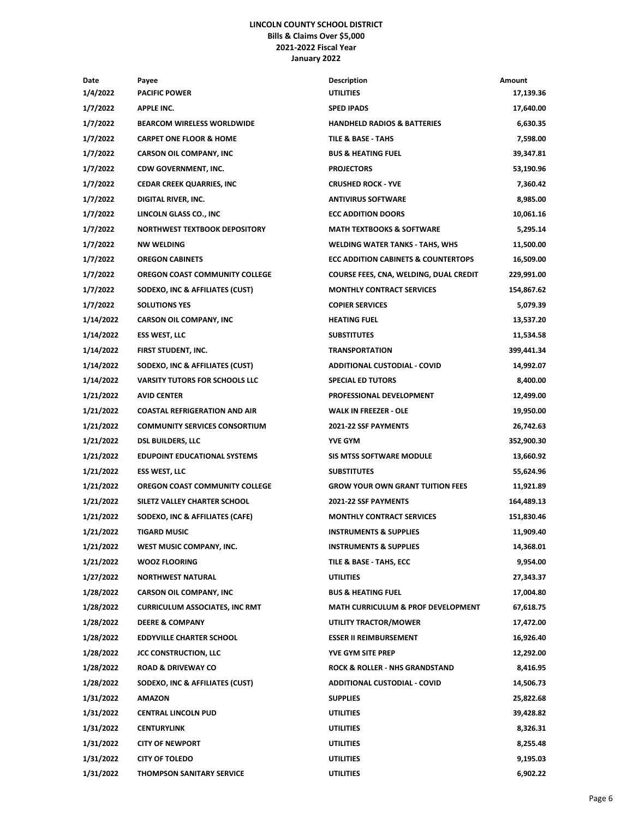## **LINCOLN COUNTY SCHOOL DISTRICT Bills & Claims Over \$5,000 2021-2022 Fiscal Year January 2022**

| Date      | Payee                                 | <b>Description</b>                             | Amount     |
|-----------|---------------------------------------|------------------------------------------------|------------|
| 1/4/2022  | <b>PACIFIC POWER</b>                  | <b>UTILITIES</b>                               | 17,139.36  |
| 1/7/2022  | <b>APPLE INC.</b>                     | <b>SPED IPADS</b>                              | 17,640.00  |
| 1/7/2022  | <b>BEARCOM WIRELESS WORLDWIDE</b>     | <b>HANDHELD RADIOS &amp; BATTERIES</b>         | 6,630.35   |
| 1/7/2022  | <b>CARPET ONE FLOOR &amp; HOME</b>    | TILE & BASE - TAHS                             | 7,598.00   |
| 1/7/2022  | <b>CARSON OIL COMPANY, INC</b>        | <b>BUS &amp; HEATING FUEL</b>                  | 39,347.81  |
| 1/7/2022  | <b>CDW GOVERNMENT, INC.</b>           | <b>PROJECTORS</b>                              | 53,190.96  |
| 1/7/2022  | CEDAR CREEK QUARRIES, INC             | <b>CRUSHED ROCK - YVE</b>                      | 7,360.42   |
| 1/7/2022  | DIGITAL RIVER, INC.                   | <b>ANTIVIRUS SOFTWARE</b>                      | 8,985.00   |
| 1/7/2022  | LINCOLN GLASS CO., INC                | <b>ECC ADDITION DOORS</b>                      | 10,061.16  |
| 1/7/2022  | NORTHWEST TEXTBOOK DEPOSITORY         | <b>MATH TEXTBOOKS &amp; SOFTWARE</b>           | 5,295.14   |
| 1/7/2022  | <b>NW WELDING</b>                     | <b>WELDING WATER TANKS - TAHS, WHS</b>         | 11,500.00  |
| 1/7/2022  | <b>OREGON CABINETS</b>                | <b>ECC ADDITION CABINETS &amp; COUNTERTOPS</b> | 16,509.00  |
| 1/7/2022  | OREGON COAST COMMUNITY COLLEGE        | COURSE FEES, CNA, WELDING, DUAL CREDIT         | 229,991.00 |
| 1/7/2022  | SODEXO, INC & AFFILIATES (CUST)       | <b>MONTHLY CONTRACT SERVICES</b>               | 154,867.62 |
| 1/7/2022  | <b>SOLUTIONS YES</b>                  | <b>COPIER SERVICES</b>                         | 5,079.39   |
| 1/14/2022 | <b>CARSON OIL COMPANY, INC</b>        | <b>HEATING FUEL</b>                            | 13,537.20  |
| 1/14/2022 | <b>ESS WEST, LLC</b>                  | <b>SUBSTITUTES</b>                             | 11,534.58  |
| 1/14/2022 | FIRST STUDENT, INC.                   | <b>TRANSPORTATION</b>                          | 399,441.34 |
| 1/14/2022 | SODEXO, INC & AFFILIATES (CUST)       | <b>ADDITIONAL CUSTODIAL - COVID</b>            | 14,992.07  |
| 1/14/2022 | <b>VARSITY TUTORS FOR SCHOOLS LLC</b> | <b>SPECIAL ED TUTORS</b>                       | 8,400.00   |
| 1/21/2022 | <b>AVID CENTER</b>                    | PROFESSIONAL DEVELOPMENT                       | 12,499.00  |
| 1/21/2022 | <b>COASTAL REFRIGERATION AND AIR</b>  | <b>WALK IN FREEZER - OLE</b>                   | 19,950.00  |
| 1/21/2022 | <b>COMMUNITY SERVICES CONSORTIUM</b>  | 2021-22 SSF PAYMENTS                           | 26,742.63  |
| 1/21/2022 | <b>DSL BUILDERS, LLC</b>              | <b>YVE GYM</b>                                 | 352,900.30 |
| 1/21/2022 | <b>EDUPOINT EDUCATIONAL SYSTEMS</b>   | <b>SIS MTSS SOFTWARE MODULE</b>                | 13,660.92  |
| 1/21/2022 | <b>ESS WEST, LLC</b>                  | <b>SUBSTITUTES</b>                             | 55,624.96  |
| 1/21/2022 | OREGON COAST COMMUNITY COLLEGE        | <b>GROW YOUR OWN GRANT TUITION FEES</b>        | 11,921.89  |
| 1/21/2022 | SILETZ VALLEY CHARTER SCHOOL          | <b>2021-22 SSF PAYMENTS</b>                    | 164,489.13 |
| 1/21/2022 | SODEXO, INC & AFFILIATES (CAFE)       | <b>MONTHLY CONTRACT SERVICES</b>               | 151,830.46 |
| 1/21/2022 | <b>TIGARD MUSIC</b>                   | <b>INSTRUMENTS &amp; SUPPLIES</b>              | 11,909.40  |
| 1/21/2022 | WEST MUSIC COMPANY, INC.              | <b>INSTRUMENTS &amp; SUPPLIES</b>              | 14,368.01  |
| 1/21/2022 | <b>WOOZ FLOORING</b>                  | TILE & BASE - TAHS, ECC                        | 9,954.00   |
| 1/27/2022 | <b>NORTHWEST NATURAL</b>              | <b>UTILITIES</b>                               | 27,343.37  |
| 1/28/2022 | <b>CARSON OIL COMPANY, INC</b>        | <b>BUS &amp; HEATING FUEL</b>                  | 17,004.80  |
| 1/28/2022 | <b>CURRICULUM ASSOCIATES, INC RMT</b> | MATH CURRICULUM & PROF DEVELOPMENT             | 67,618.75  |
| 1/28/2022 | <b>DEERE &amp; COMPANY</b>            | UTILITY TRACTOR/MOWER                          | 17,472.00  |
| 1/28/2022 | <b>EDDYVILLE CHARTER SCHOOL</b>       | <b>ESSER II REIMBURSEMENT</b>                  | 16,926.40  |
| 1/28/2022 | <b>JCC CONSTRUCTION, LLC</b>          | <b>YVE GYM SITE PREP</b>                       | 12,292.00  |
| 1/28/2022 | <b>ROAD &amp; DRIVEWAY CO</b>         | <b>ROCK &amp; ROLLER - NHS GRANDSTAND</b>      | 8,416.95   |
| 1/28/2022 | SODEXO, INC & AFFILIATES (CUST)       | <b>ADDITIONAL CUSTODIAL - COVID</b>            | 14,506.73  |
| 1/31/2022 | <b>AMAZON</b>                         | <b>SUPPLIES</b>                                | 25,822.68  |
| 1/31/2022 | <b>CENTRAL LINCOLN PUD</b>            | UTILITIES                                      | 39,428.82  |
| 1/31/2022 | <b>CENTURYLINK</b>                    | <b>UTILITIES</b>                               | 8,326.31   |
| 1/31/2022 | <b>CITY OF NEWPORT</b>                | UTILITIES                                      | 8,255.48   |
| 1/31/2022 | <b>CITY OF TOLEDO</b>                 | UTILITIES                                      | 9,195.03   |
| 1/31/2022 | <b>THOMPSON SANITARY SERVICE</b>      | UTILITIES                                      | 6,902.22   |